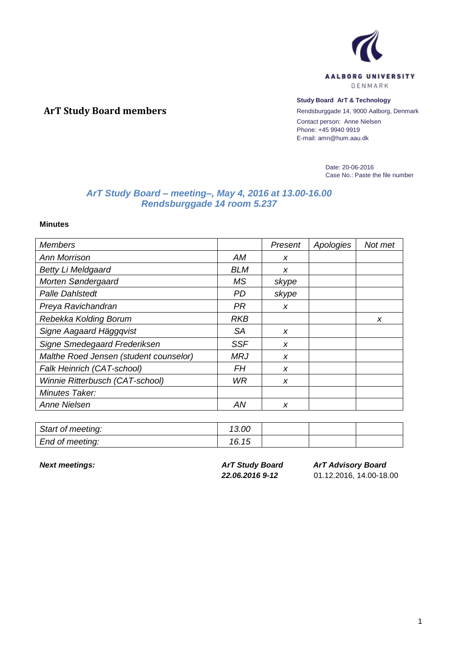

## **Study Board ArT & Technology**

Rendsburggade 14, 9000 Aalborg, Denmark Contact person: Anne Nielsen Phone: +45 9940 9919 E-mail: amn@hum.aau.dk

> Date: 20-06-2016 Case No.: Paste the file number

## *ArT Study Board – meeting–, May 4, 2016 at 13.00-16.00 Rendsburggade 14 room 5.237*

**Minutes**

**ArT Study Board members**

| <b>Members</b>                         |            | Present          | Apologies | Not met |
|----------------------------------------|------------|------------------|-----------|---------|
| Ann Morrison                           | АM         | X                |           |         |
| <b>Betty Li Meldgaard</b>              | BLM        | X                |           |         |
| Morten Søndergaard                     | МS         | skype            |           |         |
| <b>Palle Dahlstedt</b>                 | PD.        | skype            |           |         |
| Preya Ravichandran                     | PR         | X                |           |         |
| Rebekka Kolding Borum                  | RKB        |                  |           | X       |
| Signe Aagaard Häggqvist                | SA         | x                |           |         |
| Signe Smedegaard Frederiksen           | <b>SSF</b> | X                |           |         |
| Malthe Roed Jensen (student counselor) | MRJ        | $\boldsymbol{x}$ |           |         |
| Falk Heinrich (CAT-school)             | FН         | X                |           |         |
| Winnie Ritterbusch (CAT-school)        | WR         | X                |           |         |
| Minutes Taker:                         |            |                  |           |         |
| <b>Anne Nielsen</b>                    | ΑN         | X                |           |         |

| Start of meeting: | 13.00 |  |  |
|-------------------|-------|--|--|
| End of meeting:   | 16.15 |  |  |

*Next meetings: ArT Study Board 22.06.2016 9-12*

*ArT Advisory Board*

01.12.2016, 14.00-18.00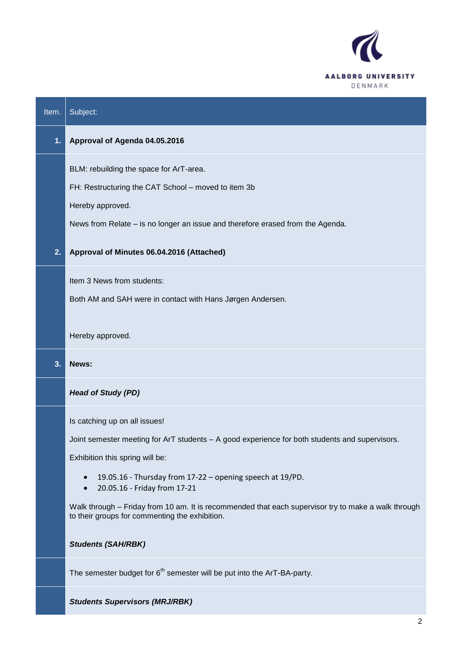

| Item. | Subject:                                                                                                                                              |
|-------|-------------------------------------------------------------------------------------------------------------------------------------------------------|
| 1.    | Approval of Agenda 04.05.2016                                                                                                                         |
|       | BLM: rebuilding the space for ArT-area.                                                                                                               |
|       | FH: Restructuring the CAT School - moved to item 3b                                                                                                   |
|       | Hereby approved.                                                                                                                                      |
|       | News from Relate - is no longer an issue and therefore erased from the Agenda.                                                                        |
| 2.    | Approval of Minutes 06.04.2016 (Attached)                                                                                                             |
|       | Item 3 News from students:                                                                                                                            |
|       | Both AM and SAH were in contact with Hans Jørgen Andersen.                                                                                            |
|       | Hereby approved.                                                                                                                                      |
| 3.    | News:                                                                                                                                                 |
|       | <b>Head of Study (PD)</b>                                                                                                                             |
|       | Is catching up on all issues!                                                                                                                         |
|       | Joint semester meeting for ArT students - A good experience for both students and supervisors.                                                        |
|       | Exhibition this spring will be:                                                                                                                       |
|       | 19.05.16 - Thursday from 17-22 - opening speech at 19/PD.<br>$\bullet$<br>20.05.16 - Friday from 17-21<br>$\bullet$                                   |
|       | Walk through - Friday from 10 am. It is recommended that each supervisor try to make a walk through<br>to their groups for commenting the exhibition. |
|       | <b>Students (SAH/RBK)</b>                                                                                                                             |
|       | The semester budget for $6th$ semester will be put into the ArT-BA-party.                                                                             |
|       | <b>Students Supervisors (MRJ/RBK)</b>                                                                                                                 |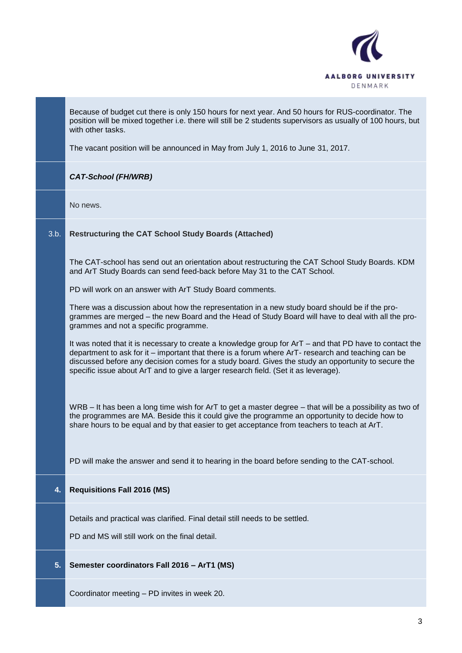

|      | Because of budget cut there is only 150 hours for next year. And 50 hours for RUS-coordinator. The<br>position will be mixed together i.e. there will still be 2 students supervisors as usually of 100 hours, but<br>with other tasks.<br>The vacant position will be announced in May from July 1, 2016 to June 31, 2017.                                                                                 |
|------|-------------------------------------------------------------------------------------------------------------------------------------------------------------------------------------------------------------------------------------------------------------------------------------------------------------------------------------------------------------------------------------------------------------|
|      | <b>CAT-School (FH/WRB)</b>                                                                                                                                                                                                                                                                                                                                                                                  |
|      | No news.                                                                                                                                                                                                                                                                                                                                                                                                    |
| 3.b. | <b>Restructuring the CAT School Study Boards (Attached)</b>                                                                                                                                                                                                                                                                                                                                                 |
|      | The CAT-school has send out an orientation about restructuring the CAT School Study Boards. KDM<br>and ArT Study Boards can send feed-back before May 31 to the CAT School.                                                                                                                                                                                                                                 |
|      | PD will work on an answer with ArT Study Board comments.                                                                                                                                                                                                                                                                                                                                                    |
|      | There was a discussion about how the representation in a new study board should be if the pro-<br>grammes are merged - the new Board and the Head of Study Board will have to deal with all the pro-<br>grammes and not a specific programme.                                                                                                                                                               |
|      | It was noted that it is necessary to create a knowledge group for ArT – and that PD have to contact the<br>department to ask for it – important that there is a forum where ArT- research and teaching can be<br>discussed before any decision comes for a study board. Gives the study an opportunity to secure the<br>specific issue about ArT and to give a larger research field. (Set it as leverage). |
|      | WRB – It has been a long time wish for ArT to get a master degree – that will be a possibility as two of<br>the programmes are MA. Beside this it could give the programme an opportunity to decide how to<br>share hours to be equal and by that easier to get acceptance from teachers to teach at ArT.                                                                                                   |
|      | PD will make the answer and send it to hearing in the board before sending to the CAT-school.                                                                                                                                                                                                                                                                                                               |
| 4.   | <b>Requisitions Fall 2016 (MS)</b>                                                                                                                                                                                                                                                                                                                                                                          |
|      | Details and practical was clarified. Final detail still needs to be settled.                                                                                                                                                                                                                                                                                                                                |
|      | PD and MS will still work on the final detail.                                                                                                                                                                                                                                                                                                                                                              |
| 5.   | Semester coordinators Fall 2016 - ArT1 (MS)                                                                                                                                                                                                                                                                                                                                                                 |
|      | Coordinator meeting - PD invites in week 20.                                                                                                                                                                                                                                                                                                                                                                |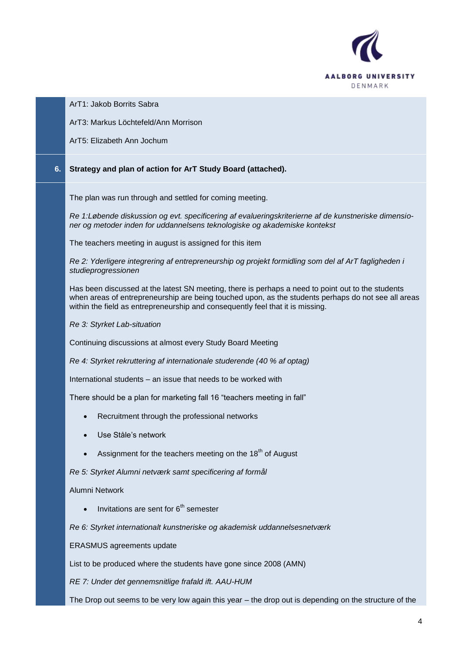

ArT1: Jakob Borrits Sabra

ArT3: Markus Löchtefeld/Ann Morrison

ArT5: Elizabeth Ann Jochum

## **6. Strategy and plan of action for ArT Study Board (attached).**

The plan was run through and settled for coming meeting.

*Re 1:Løbende diskussion og evt. specificering af evalueringskriterierne af de kunstneriske dimensioner og metoder inden for uddannelsens teknologiske og akademiske kontekst*

The teachers meeting in august is assigned for this item

*Re 2: Yderligere integrering af entrepreneurship og projekt formidling som del af ArT fagligheden i studieprogressionen*

Has been discussed at the latest SN meeting, there is perhaps a need to point out to the students when areas of entrepreneurship are being touched upon, as the students perhaps do not see all areas within the field as entrepreneurship and consequently feel that it is missing.

*Re 3: Styrket Lab-situation*

Continuing discussions at almost every Study Board Meeting

*Re 4: Styrket rekruttering af internationale studerende (40 % af optag)*

International students – an issue that needs to be worked with

There should be a plan for marketing fall 16 "teachers meeting in fall"

- Recruitment through the professional networks
- Use Ståle's network
- Assignment for the teachers meeting on the  $18<sup>th</sup>$  of August

*Re 5: Styrket Alumni netværk samt specificering af formål*

Alumni Network

Invitations are sent for  $6<sup>th</sup>$  semester

*Re 6: Styrket internationalt kunstneriske og akademisk uddannelsesnetværk*

ERASMUS agreements update

List to be produced where the students have gone since 2008 (AMN)

*RE 7: Under det gennemsnitlige frafald ift. AAU-HUM*

The Drop out seems to be very low again this year – the drop out is depending on the structure of the